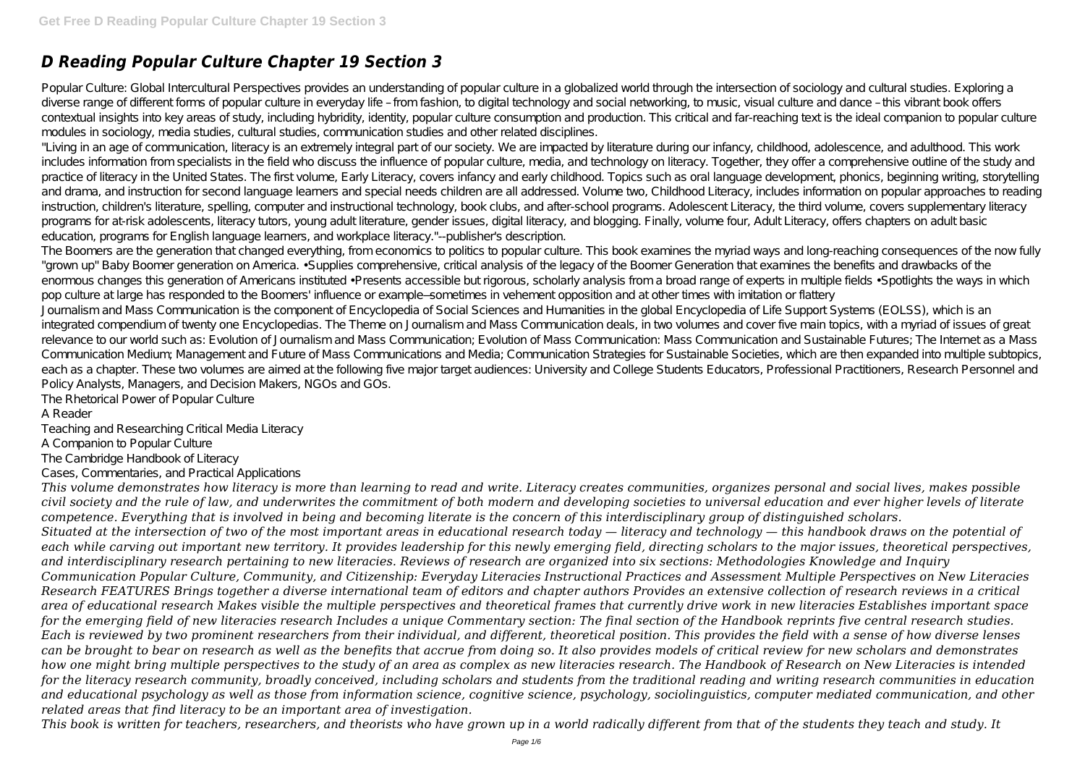# *D Reading Popular Culture Chapter 19 Section 3*

Popular Culture: Global Intercultural Perspectives provides an understanding of popular culture in a globalized world through the intersection of sociology and cultural studies. Exploring a diverse range of different forms of popular culture in everyday life – from fashion, to digital technology and social networking, to music, visual culture and dance – this vibrant book offers contextual insights into key areas of study, including hybridity, identity, popular culture consumption and production. This critical and far-reaching text is the ideal companion to popular culture modules in sociology, media studies, cultural studies, communication studies and other related disciplines.

"Living in an age of communication, literacy is an extremely integral part of our society. We are impacted by literature during our infancy, childhood, adolescence, and adulthood. This work includes information from specialists in the field who discuss the influence of popular culture, media, and technology on literacy. Together, they offer a comprehensive outline of the study and practice of literacy in the United States. The first volume, Early Literacy, covers infancy and early childhood. Topics such as oral language development, phonics, beginning writing, storytelling and drama, and instruction for second language learners and special needs children are all addressed. Volume two, Childhood Literacy, includes information on popular approaches to reading instruction, children's literature, spelling, computer and instructional technology, book clubs, and after-school programs. Adolescent Literacy, the third volume, covers supplementary literacy programs for at-risk adolescents, literacy tutors, young adult literature, gender issues, digital literacy, and blogging. Finally, volume four, Adult Literacy, offers chapters on adult basic education, programs for English language learners, and workplace literacy."--publisher's description.

The Boomers are the generation that changed everything, from economics to politics to popular culture. This book examines the myriad ways and long-reaching consequences of the now fully "grown up" Baby Boomer generation on America. • Supplies comprehensive, critical analysis of the legacy of the Boomer Generation that examines the benefits and drawbacks of the enormous changes this generation of Americans instituted • Presents accessible but rigorous, scholarly analysis from a broad range of experts in multiple fields • Spotlights the ways in which pop culture at large has responded to the Boomers' influence or example—sometimes in vehement opposition and at other times with imitation or flattery Journalism and Mass Communication is the component of Encyclopedia of Social Sciences and Humanities in the global Encyclopedia of Life Support Systems (EOLSS), which is an integrated compendium of twenty one Encyclopedias. The Theme on Journalism and Mass Communication deals, in two volumes and cover five main topics, with a myriad of issues of great relevance to our world such as: Evolution of Journalism and Mass Communication; Evolution of Mass Communication: Mass Communication and Sustainable Futures; The Internet as a Mass Communication Medium; Management and Future of Mass Communications and Media; Communication Strategies for Sustainable Societies, which are then expanded into multiple subtopics, each as a chapter. These two volumes are aimed at the following five major target audiences: University and College Students Educators, Professional Practitioners, Research Personnel and Policy Analysts, Managers, and Decision Makers, NGOs and GOs.

The Rhetorical Power of Popular Culture

A Reader

Teaching and Researching Critical Media Literacy

A Companion to Popular Culture

The Cambridge Handbook of Literacy

Cases, Commentaries, and Practical Applications

*This volume demonstrates how literacy is more than learning to read and write. Literacy creates communities, organizes personal and social lives, makes possible civil society and the rule of law, and underwrites the commitment of both modern and developing societies to universal education and ever higher levels of literate competence. Everything that is involved in being and becoming literate is the concern of this interdisciplinary group of distinguished scholars. Situated at the intersection of two of the most important areas in educational research today — literacy and technology — this handbook draws on the potential of each while carving out important new territory. It provides leadership for this newly emerging field, directing scholars to the major issues, theoretical perspectives, and interdisciplinary research pertaining to new literacies. Reviews of research are organized into six sections: Methodologies Knowledge and Inquiry Communication Popular Culture, Community, and Citizenship: Everyday Literacies Instructional Practices and Assessment Multiple Perspectives on New Literacies Research FEATURES Brings together a diverse international team of editors and chapter authors Provides an extensive collection of research reviews in a critical area of educational research Makes visible the multiple perspectives and theoretical frames that currently drive work in new literacies Establishes important space for the emerging field of new literacies research Includes a unique Commentary section: The final section of the Handbook reprints five central research studies. Each is reviewed by two prominent researchers from their individual, and different, theoretical position. This provides the field with a sense of how diverse lenses can be brought to bear on research as well as the benefits that accrue from doing so. It also provides models of critical review for new scholars and demonstrates how one might bring multiple perspectives to the study of an area as complex as new literacies research. The Handbook of Research on New Literacies is intended for the literacy research community, broadly conceived, including scholars and students from the traditional reading and writing research communities in education and educational psychology as well as those from information science, cognitive science, psychology, sociolinguistics, computer mediated communication, and other related areas that find literacy to be an important area of investigation.*

*This book is written for teachers, researchers, and theorists who have grown up in a world radically different from that of the students they teach and study. It*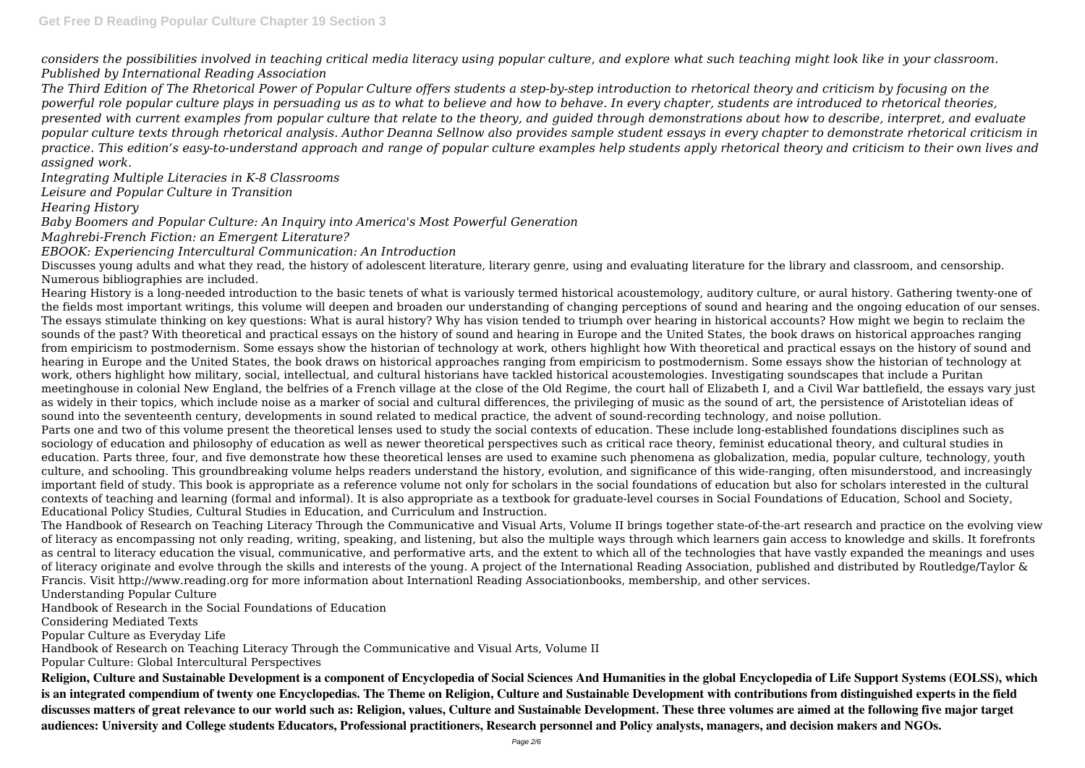*considers the possibilities involved in teaching critical media literacy using popular culture, and explore what such teaching might look like in your classroom. Published by International Reading Association*

*The Third Edition of The Rhetorical Power of Popular Culture offers students a step-by-step introduction to rhetorical theory and criticism by focusing on the powerful role popular culture plays in persuading us as to what to believe and how to behave. In every chapter, students are introduced to rhetorical theories, presented with current examples from popular culture that relate to the theory, and guided through demonstrations about how to describe, interpret, and evaluate popular culture texts through rhetorical analysis. Author Deanna Sellnow also provides sample student essays in every chapter to demonstrate rhetorical criticism in practice. This edition's easy-to-understand approach and range of popular culture examples help students apply rhetorical theory and criticism to their own lives and assigned work.*

*Integrating Multiple Literacies in K-8 Classrooms*

*Leisure and Popular Culture in Transition*

*Hearing History*

*Baby Boomers and Popular Culture: An Inquiry into America's Most Powerful Generation*

*Maghrebi-French Fiction: an Emergent Literature?*

*EBOOK: Experiencing Intercultural Communication: An Introduction*

Discusses young adults and what they read, the history of adolescent literature, literary genre, using and evaluating literature for the library and classroom, and censorship. Numerous bibliographies are included.

Hearing History is a long-needed introduction to the basic tenets of what is variously termed historical acoustemology, auditory culture, or aural history. Gathering twenty-one of the fields most important writings, this volume will deepen and broaden our understanding of changing perceptions of sound and hearing and the ongoing education of our senses. The essays stimulate thinking on key questions: What is aural history? Why has vision tended to triumph over hearing in historical accounts? How might we begin to reclaim the sounds of the past? With theoretical and practical essays on the history of sound and hearing in Europe and the United States, the book draws on historical approaches ranging from empiricism to postmodernism. Some essays show the historian of technology at work, others highlight how With theoretical and practical essays on the history of sound and hearing in Europe and the United States, the book draws on historical approaches ranging from empiricism to postmodernism. Some essays show the historian of technology at work, others highlight how military, social, intellectual, and cultural historians have tackled historical acoustemologies. Investigating soundscapes that include a Puritan meetinghouse in colonial New England, the belfries of a French village at the close of the Old Regime, the court hall of Elizabeth I, and a Civil War battlefield, the essays vary just as widely in their topics, which include noise as a marker of social and cultural differences, the privileging of music as the sound of art, the persistence of Aristotelian ideas of sound into the seventeenth century, developments in sound related to medical practice, the advent of sound-recording technology, and noise pollution. Parts one and two of this volume present the theoretical lenses used to study the social contexts of education. These include long-established foundations disciplines such as sociology of education and philosophy of education as well as newer theoretical perspectives such as critical race theory, feminist educational theory, and cultural studies in education. Parts three, four, and five demonstrate how these theoretical lenses are used to examine such phenomena as globalization, media, popular culture, technology, youth culture, and schooling. This groundbreaking volume helps readers understand the history, evolution, and significance of this wide-ranging, often misunderstood, and increasingly important field of study. This book is appropriate as a reference volume not only for scholars in the social foundations of education but also for scholars interested in the cultural contexts of teaching and learning (formal and informal). It is also appropriate as a textbook for graduate-level courses in Social Foundations of Education, School and Society, Educational Policy Studies, Cultural Studies in Education, and Curriculum and Instruction.

The Handbook of Research on Teaching Literacy Through the Communicative and Visual Arts, Volume II brings together state-of-the-art research and practice on the evolving view of literacy as encompassing not only reading, writing, speaking, and listening, but also the multiple ways through which learners gain access to knowledge and skills. It forefronts as central to literacy education the visual, communicative, and performative arts, and the extent to which all of the technologies that have vastly expanded the meanings and uses of literacy originate and evolve through the skills and interests of the young. A project of the International Reading Association, published and distributed by Routledge/Taylor & Francis. Visit http://www.reading.org for more information about Internationl Reading Associationbooks, membership, and other services. Understanding Popular Culture

Handbook of Research in the Social Foundations of Education

Considering Mediated Texts

Popular Culture as Everyday Life

Handbook of Research on Teaching Literacy Through the Communicative and Visual Arts, Volume II

Popular Culture: Global Intercultural Perspectives

**Religion, Culture and Sustainable Development is a component of Encyclopedia of Social Sciences And Humanities in the global Encyclopedia of Life Support Systems (EOLSS), which is an integrated compendium of twenty one Encyclopedias. The Theme on Religion, Culture and Sustainable Development with contributions from distinguished experts in the field discusses matters of great relevance to our world such as: Religion, values, Culture and Sustainable Development. These three volumes are aimed at the following five major target audiences: University and College students Educators, Professional practitioners, Research personnel and Policy analysts, managers, and decision makers and NGOs.**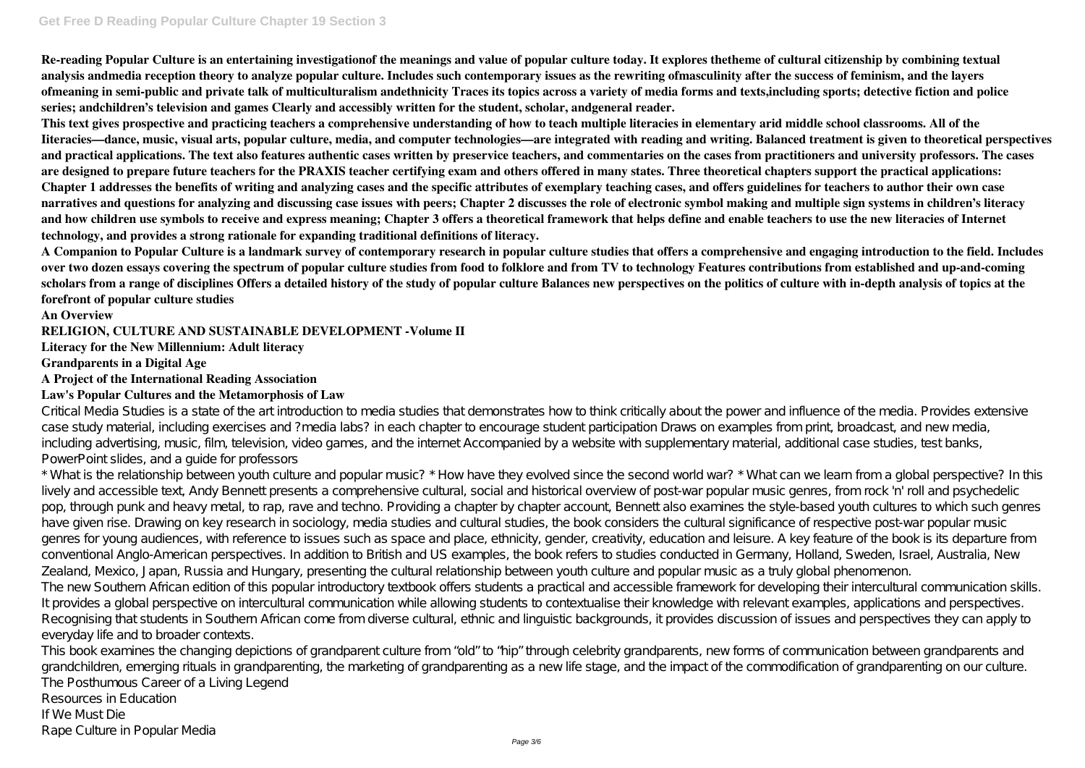**Re-reading Popular Culture is an entertaining investigationof the meanings and value of popular culture today. It explores thetheme of cultural citizenship by combining textual analysis andmedia reception theory to analyze popular culture. Includes such contemporary issues as the rewriting ofmasculinity after the success of feminism, and the layers ofmeaning in semi-public and private talk of multiculturalism andethnicity Traces its topics across a variety of media forms and texts,including sports; detective fiction and police series; andchildren's television and games Clearly and accessibly written for the student, scholar, andgeneral reader.**

**This text gives prospective and practicing teachers a comprehensive understanding of how to teach multiple literacies in elementary arid middle school classrooms. All of the Iiteracies—dance, music, visual arts, popular culture, media, and computer technologies—are integrated with reading and writing. Balanced treatment is given to theoretical perspectives and practical applications. The text also features authentic cases written by preservice teachers, and commentaries on the cases from practitioners and university professors. The cases are designed to prepare future teachers for the PRAXIS teacher certifying exam and others offered in many states. Three theoretical chapters support the practical applications: Chapter 1 addresses the benefits of writing and analyzing cases and the specific attributes of exemplary teaching cases, and offers guidelines for teachers to author their own case narratives and questions for analyzing and discussing case issues with peers; Chapter 2 discusses the role of electronic symbol making and multiple sign systems in children's literacy and how children use symbols to receive and express meaning; Chapter 3 offers a theoretical framework that helps define and enable teachers to use the new literacies of Internet technology, and provides a strong rationale for expanding traditional definitions of literacy.**

**A Companion to Popular Culture is a landmark survey of contemporary research in popular culture studies that offers a comprehensive and engaging introduction to the field. Includes over two dozen essays covering the spectrum of popular culture studies from food to folklore and from TV to technology Features contributions from established and up-and-coming scholars from a range of disciplines Offers a detailed history of the study of popular culture Balances new perspectives on the politics of culture with in-depth analysis of topics at the forefront of popular culture studies**

### **An Overview**

### **RELIGION, CULTURE AND SUSTAINABLE DEVELOPMENT -Volume II**

**Literacy for the New Millennium: Adult literacy**

**Grandparents in a Digital Age**

#### **A Project of the International Reading Association**

### **Law's Popular Cultures and the Metamorphosis of Law**

Critical Media Studies is a state of the art introduction to media studies that demonstrates how to think critically about the power and influence of the media. Provides extensive case study material, including exercises and ?media labs? in each chapter to encourage student participation Draws on examples from print, broadcast, and new media, including advertising, music, film, television, video games, and the internet Accompanied by a website with supplementary material, additional case studies, test banks, PowerPoint slides, and a guide for professors

\* What is the relationship between youth culture and popular music? \* How have they evolved since the second world war? \* What can we learn from a global perspective? In this lively and accessible text, Andy Bennett presents a comprehensive cultural, social and historical overview of post-war popular music genres, from rock 'n' roll and psychedelic pop, through punk and heavy metal, to rap, rave and techno. Providing a chapter by chapter account, Bennett also examines the style-based youth cultures to which such genres have given rise. Drawing on key research in sociology, media studies and cultural studies, the book considers the cultural significance of respective post-war popular music genres for young audiences, with reference to issues such as space and place, ethnicity, gender, creativity, education and leisure. A key feature of the book is its departure from conventional Anglo-American perspectives. In addition to British and US examples, the book refers to studies conducted in Germany, Holland, Sweden, Israel, Australia, New Zealand, Mexico, Japan, Russia and Hungary, presenting the cultural relationship between youth culture and popular music as a truly global phenomenon. The new Southern African edition of this popular introductory textbook offers students a practical and accessible framework for developing their intercultural communication skills. It provides a global perspective on intercultural communication while allowing students to contextualise their knowledge with relevant examples, applications and perspectives. Recognising that students in Southern African come from diverse cultural, ethnic and linguistic backgrounds, it provides discussion of issues and perspectives they can apply to everyday life and to broader contexts.

This book examines the changing depictions of grandparent culture from "old" to "hip" through celebrity grandparents, new forms of communication between grandparents and grandchildren, emerging rituals in grandparenting, the marketing of grandparenting as a new life stage, and the impact of the commodification of grandparenting on our culture. The Posthumous Career of a Living Legend

Resources in Education If We Must Die

Rape Culture in Popular Media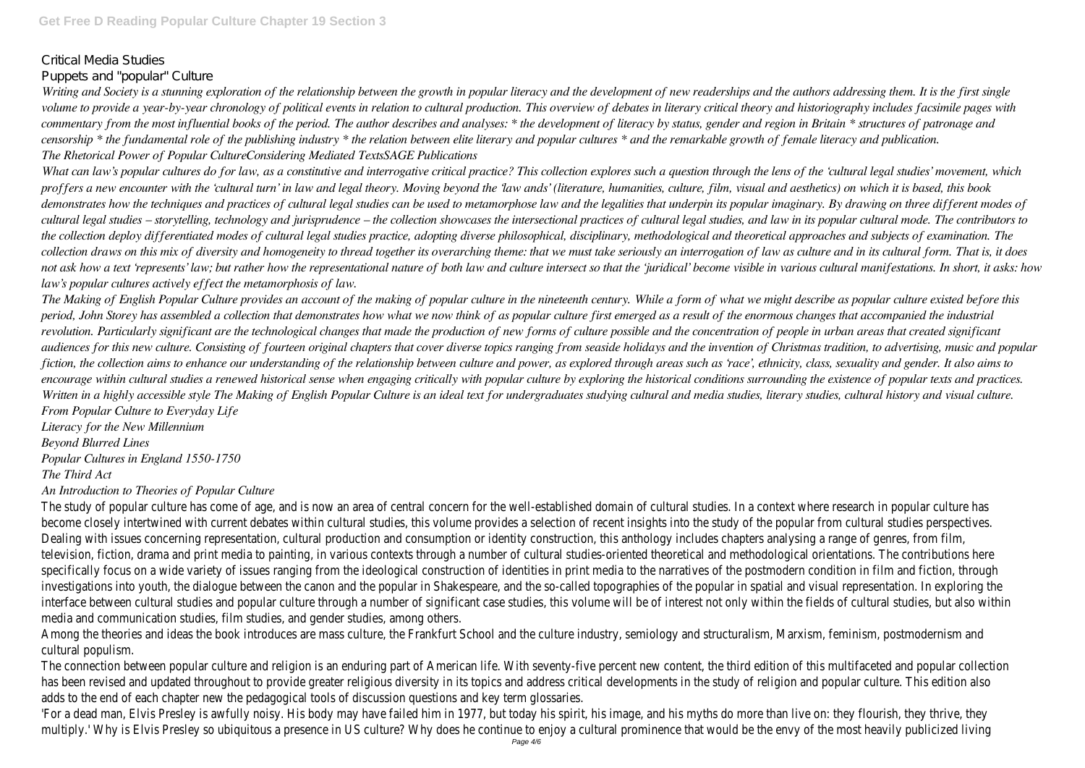## Critical Media Studies

Puppets and "popular" Culture

*Writing and Society is a stunning exploration of the relationship between the growth in popular literacy and the development of new readerships and the authors addressing them. It is the first single volume to provide a year-by-year chronology of political events in relation to cultural production. This overview of debates in literary critical theory and historiography includes facsimile pages with commentary from the most influential books of the period. The author describes and analyses: \* the development of literacy by status, gender and region in Britain \* structures of patronage and censorship \* the fundamental role of the publishing industry \* the relation between elite literary and popular cultures \* and the remarkable growth of female literacy and publication. The Rhetorical Power of Popular CultureConsidering Mediated TextsSAGE Publications*

*What can law's popular cultures do for law, as a constitutive and interrogative critical practice? This collection explores such a question through the lens of the 'cultural legal studies' movement, which proffers a new encounter with the 'cultural turn' in law and legal theory. Moving beyond the 'law ands' (literature, humanities, culture, film, visual and aesthetics) on which it is based, this book demonstrates how the techniques and practices of cultural legal studies can be used to metamorphose law and the legalities that underpin its popular imaginary. By drawing on three different modes of cultural legal studies – storytelling, technology and jurisprudence – the collection showcases the intersectional practices of cultural legal studies, and law in its popular cultural mode. The contributors to the collection deploy differentiated modes of cultural legal studies practice, adopting diverse philosophical, disciplinary, methodological and theoretical approaches and subjects of examination. The collection draws on this mix of diversity and homogeneity to thread together its overarching theme: that we must take seriously an interrogation of law as culture and in its cultural form. That is, it does not ask how a text 'represents' law; but rather how the representational nature of both law and culture intersect so that the 'juridical' become visible in various cultural manifestations. In short, it asks: how law's popular cultures actively effect the metamorphosis of law.*

*The Making of English Popular Culture provides an account of the making of popular culture in the nineteenth century. While a form of what we might describe as popular culture existed before this period, John Storey has assembled a collection that demonstrates how what we now think of as popular culture first emerged as a result of the enormous changes that accompanied the industrial revolution. Particularly significant are the technological changes that made the production of new forms of culture possible and the concentration of people in urban areas that created significant audiences for this new culture. Consisting of fourteen original chapters that cover diverse topics ranging from seaside holidays and the invention of Christmas tradition, to advertising, music and popular fiction, the collection aims to enhance our understanding of the relationship between culture and power, as explored through areas such as 'race', ethnicity, class, sexuality and gender. It also aims to encourage within cultural studies a renewed historical sense when engaging critically with popular culture by exploring the historical conditions surrounding the existence of popular texts and practices. Written in a highly accessible style The Making of English Popular Culture is an ideal text for undergraduates studying cultural and media studies, literary studies, cultural history and visual culture. From Popular Culture to Everyday Life*

'For a dead man, Elvis Presley is awfully noisy. His body may have failed him in 1977, but today his spirit, his image, and his myths do more than live on: they flourish, they thrive, they multiply.' Why is Elvis Presley so ubiquitous a presence in US culture? Why does he continue to enjoy a cultural prominence that would be the envy of the most heavily publicized living

*Literacy for the New Millennium Beyond Blurred Lines Popular Cultures in England 1550-1750 The Third Act*

*An Introduction to Theories of Popular Culture*

The study of popular culture has come of age, and is now an area of central concern for the well-established domain of cultural studies. In a context where research in popular culture has become closely intertwined with current debates within cultural studies, this volume provides a selection of recent insights into the study of the popular from cultural studies perspectives. Dealing with issues concerning representation, cultural production and consumption or identity construction, this anthology includes chapters analysing a range of genres, from film, television, fiction, drama and print media to painting, in various contexts through a number of cultural studies-oriented theoretical and methodological orientations. The contributions here specifically focus on a wide variety of issues ranging from the ideological construction of identities in print media to the narratives of the postmodern condition in film and fiction, through investigations into youth, the dialogue between the canon and the popular in Shakespeare, and the so-called topographies of the popular in spatial and visual representation. In exploring the interface between cultural studies and popular culture through a number of significant case studies, this volume will be of interest not only within the fields of cultural studies, but also within media and communication studies, film studies, and gender studies, among others.

Among the theories and ideas the book introduces are mass culture, the Frankfurt School and the culture industry, semiology and structuralism, Marxism, feminism, postmodernism and cultural populism.

The connection between popular culture and religion is an enduring part of American life. With seventy-five percent new content, the third edition of this multifaceted and popular collection has been revised and updated throughout to provide greater religious diversity in its topics and address critical developments in the study of religion and popular culture. This edition also adds to the end of each chapter new the pedagogical tools of discussion questions and key term glossaries.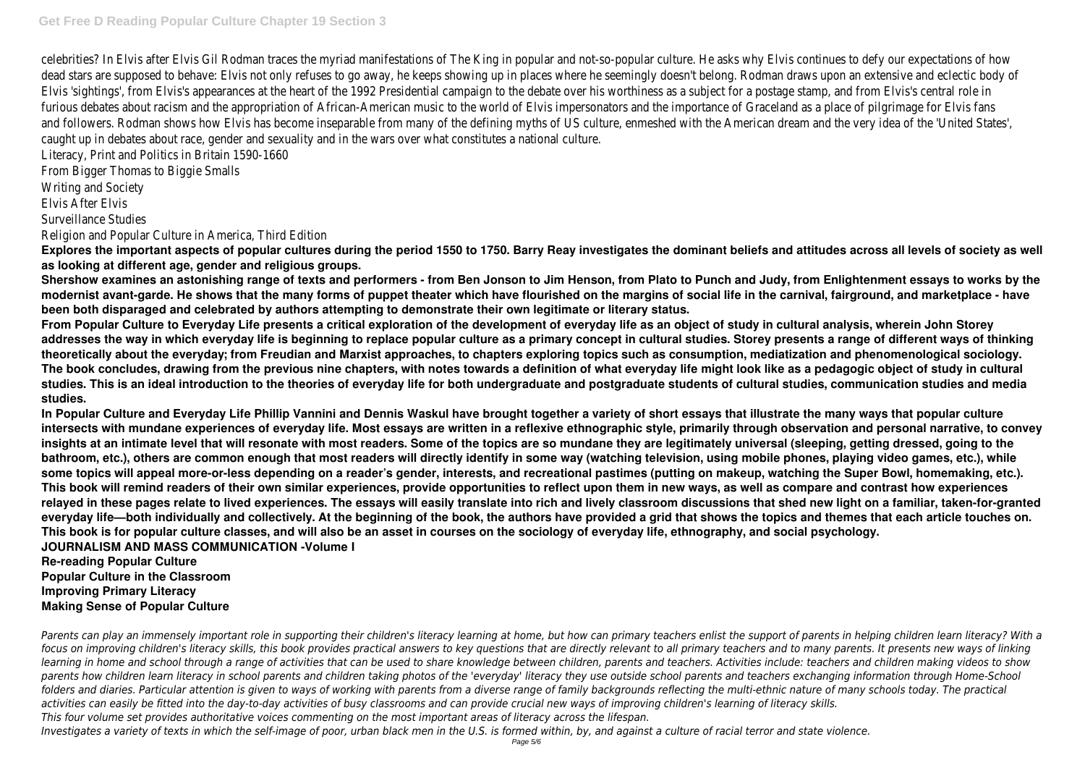celebrities? In Elvis after Elvis Gil Rodman traces the myriad manifestations of The King in popular and not-so-popular culture. He asks why Elvis continues to defy our expectations of how dead stars are supposed to behave: Elvis not only refuses to go away, he keeps showing up in places where he seemingly doesn't belong. Rodman draws upon an extensive and eclectic body of Elvis 'sightings', from Elvis's appearances at the heart of the 1992 Presidential campaign to the debate over his worthiness as a subject for a postage stamp, and from Elvis's central role in furious debates about racism and the appropriation of African-American music to the world of Elvis impersonators and the importance of Graceland as a place of pilgrimage for Elvis fans and followers. Rodman shows how Elvis has become inseparable from many of the defining myths of US culture, enmeshed with the American dream and the very idea of the 'United States', caught up in debates about race, gender and sexuality and in the wars over what constitutes a national culture.

Literacy, Print and Politics in Britain 1590-1660

From Bigger Thomas to Biggie Smalls

Writing and Society

Elvis After Elvis

Surveillance Studies

Religion and Popular Culture in America, Third Edition

**Explores the important aspects of popular cultures during the period 1550 to 1750. Barry Reay investigates the dominant beliefs and attitudes across all levels of society as well as looking at different age, gender and religious groups.**

**Shershow examines an astonishing range of texts and performers - from Ben Jonson to Jim Henson, from Plato to Punch and Judy, from Enlightenment essays to works by the modernist avant-garde. He shows that the many forms of puppet theater which have flourished on the margins of social life in the carnival, fairground, and marketplace - have been both disparaged and celebrated by authors attempting to demonstrate their own legitimate or literary status.**

**From Popular Culture to Everyday Life presents a critical exploration of the development of everyday life as an object of study in cultural analysis, wherein John Storey addresses the way in which everyday life is beginning to replace popular culture as a primary concept in cultural studies. Storey presents a range of different ways of thinking theoretically about the everyday; from Freudian and Marxist approaches, to chapters exploring topics such as consumption, mediatization and phenomenological sociology. The book concludes, drawing from the previous nine chapters, with notes towards a definition of what everyday life might look like as a pedagogic object of study in cultural studies. This is an ideal introduction to the theories of everyday life for both undergraduate and postgraduate students of cultural studies, communication studies and media studies.**

**In Popular Culture and Everyday Life Phillip Vannini and Dennis Waskul have brought together a variety of short essays that illustrate the many ways that popular culture intersects with mundane experiences of everyday life. Most essays are written in a reflexive ethnographic style, primarily through observation and personal narrative, to convey insights at an intimate level that will resonate with most readers. Some of the topics are so mundane they are legitimately universal (sleeping, getting dressed, going to the bathroom, etc.), others are common enough that most readers will directly identify in some way (watching television, using mobile phones, playing video games, etc.), while some topics will appeal more-or-less depending on a reader's gender, interests, and recreational pastimes (putting on makeup, watching the Super Bowl, homemaking, etc.). This book will remind readers of their own similar experiences, provide opportunities to reflect upon them in new ways, as well as compare and contrast how experiences relayed in these pages relate to lived experiences. The essays will easily translate into rich and lively classroom discussions that shed new light on a familiar, taken-for-granted everyday life—both individually and collectively. At the beginning of the book, the authors have provided a grid that shows the topics and themes that each article touches on. This book is for popular culture classes, and will also be an asset in courses on the sociology of everyday life, ethnography, and social psychology. JOURNALISM AND MASS COMMUNICATION -Volume I**

**Re-reading Popular Culture Popular Culture in the Classroom Improving Primary Literacy Making Sense of Popular Culture**

*Parents can play an immensely important role in supporting their children's literacy learning at home, but how can primary teachers enlist the support of parents in helping children learn literacy? With a focus on improving children's literacy skills, this book provides practical answers to key questions that are directly relevant to all primary teachers and to many parents. It presents new ways of linking learning in home and school through a range of activities that can be used to share knowledge between children, parents and teachers. Activities include: teachers and children making videos to show parents how children learn literacy in school parents and children taking photos of the 'everyday' literacy they use outside school parents and teachers exchanging information through Home-School folders and diaries. Particular attention is given to ways of working with parents from a diverse range of family backgrounds reflecting the multi-ethnic nature of many schools today. The practical activities can easily be fitted into the day-to-day activities of busy classrooms and can provide crucial new ways of improving children's learning of literacy skills. This four volume set provides authoritative voices commenting on the most important areas of literacy across the lifespan.*

*Investigates a variety of texts in which the self-image of poor, urban black men in the U.S. is formed within, by, and against a culture of racial terror and state violence.*